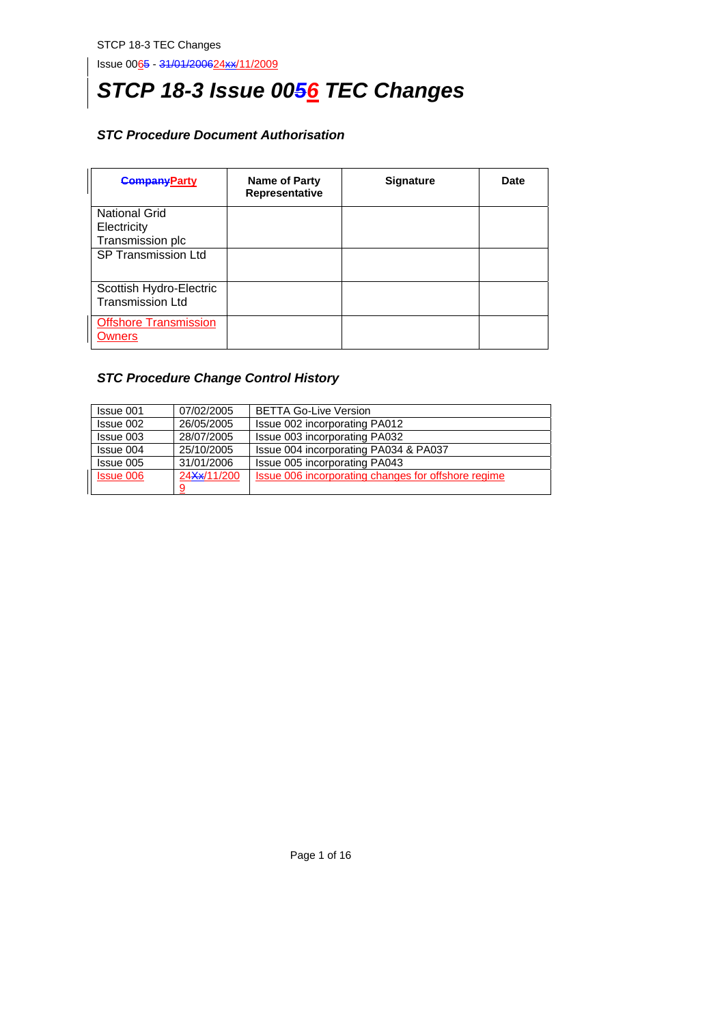# *STCP 18-3 Issue 0056 TEC Changes*

# *STC Procedure Document Authorisation*

| <b>CompanyParty</b>                                     | Name of Party<br>Representative | <b>Signature</b> | <b>Date</b> |
|---------------------------------------------------------|---------------------------------|------------------|-------------|
| <b>National Grid</b><br>Electricity<br>Transmission plc |                                 |                  |             |
| <b>SP Transmission Ltd</b>                              |                                 |                  |             |
| Scottish Hydro-Electric<br><b>Transmission Ltd</b>      |                                 |                  |             |
| <b>Offshore Transmission</b><br>Owners                  |                                 |                  |             |

# *STC Procedure Change Control History*

| Issue 001        | 07/02/2005  | <b>BETTA Go-Live Version</b>                        |
|------------------|-------------|-----------------------------------------------------|
| Issue 002        | 26/05/2005  | Issue 002 incorporating PA012                       |
| Issue 003        | 28/07/2005  | Issue 003 incorporating PA032                       |
| Issue 004        | 25/10/2005  | Issue 004 incorporating PA034 & PA037               |
| Issue 005        | 31/01/2006  | Issue 005 incorporating PA043                       |
| <b>Issue 006</b> | 24Xx/11/200 | Issue 006 incorporating changes for offshore regime |
|                  |             |                                                     |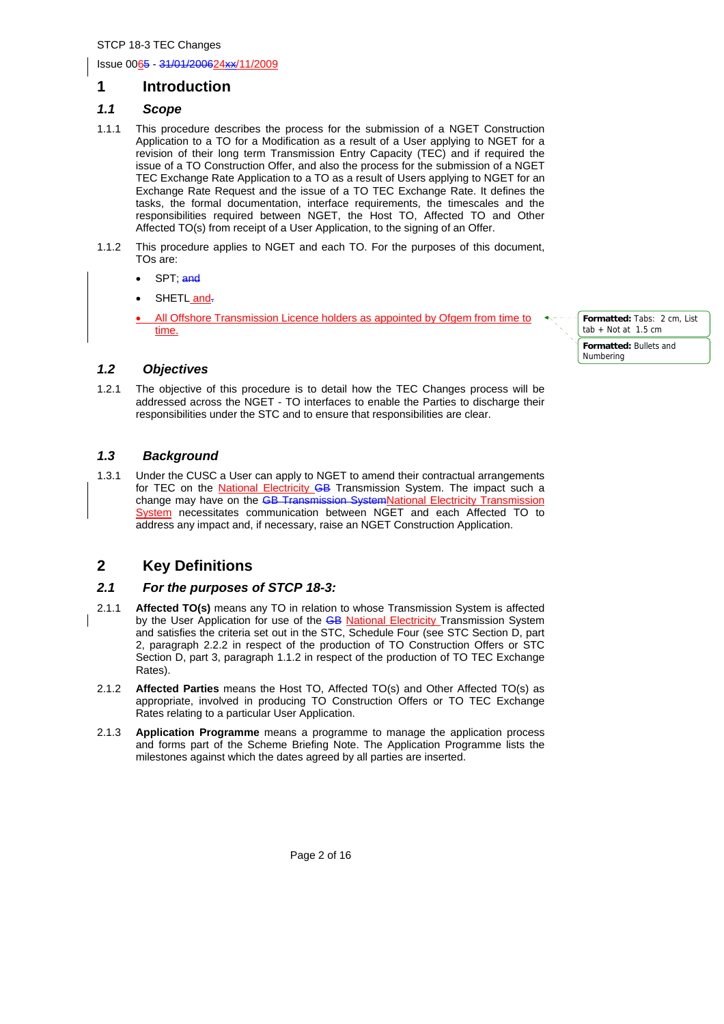# **1 Introduction**

# *1.1 Scope*

- 1.1.1 This procedure describes the process for the submission of a NGET Construction Application to a TO for a Modification as a result of a User applying to NGET for a revision of their long term Transmission Entry Capacity (TEC) and if required the issue of a TO Construction Offer, and also the process for the submission of a NGET TEC Exchange Rate Application to a TO as a result of Users applying to NGET for an Exchange Rate Request and the issue of a TO TEC Exchange Rate. It defines the tasks, the formal documentation, interface requirements, the timescales and the responsibilities required between NGET, the Host TO, Affected TO and Other Affected TO(s) from receipt of a User Application, to the signing of an Offer.
- 1.1.2 This procedure applies to NGET and each TO. For the purposes of this document, TOs are:
	- SPT; and
	- SHETL and-
	- All Offshore Transmission Licence holders as appointed by Ofgem from time to time.
- **Formatted:** Tabs: 2 cm, List  $t$ ab + Not at 1.5 cm **Formatted:** Bullets and Numbering

# *1.2 Objectives*

1.2.1 The objective of this procedure is to detail how the TEC Changes process will be addressed across the NGET - TO interfaces to enable the Parties to discharge their responsibilities under the STC and to ensure that responsibilities are clear.

# *1.3 Background*

1.3.1 Under the CUSC a User can apply to NGET to amend their contractual arrangements for TEC on the **National Electricity GB** Transmission System. The impact such a change may have on the GB Transmission SystemNational Electricity Transmission System necessitates communication between NGET and each Affected TO to address any impact and, if necessary, raise an NGET Construction Application.

# **2 Key Definitions**

### *2.1 For the purposes of STCP 18-3:*

- 2.1.1 **Affected TO(s)** means any TO in relation to whose Transmission System is affected by the User Application for use of the GB National Electricity Transmission System and satisfies the criteria set out in the STC, Schedule Four (see STC Section D, part 2, paragraph 2.2.2 in respect of the production of TO Construction Offers or STC Section D, part 3, paragraph 1.1.2 in respect of the production of TO TEC Exchange Rates).
- 2.1.2 **Affected Parties** means the Host TO, Affected TO(s) and Other Affected TO(s) as appropriate, involved in producing TO Construction Offers or TO TEC Exchange Rates relating to a particular User Application.
- 2.1.3 **Application Programme** means a programme to manage the application process and forms part of the Scheme Briefing Note. The Application Programme lists the milestones against which the dates agreed by all parties are inserted.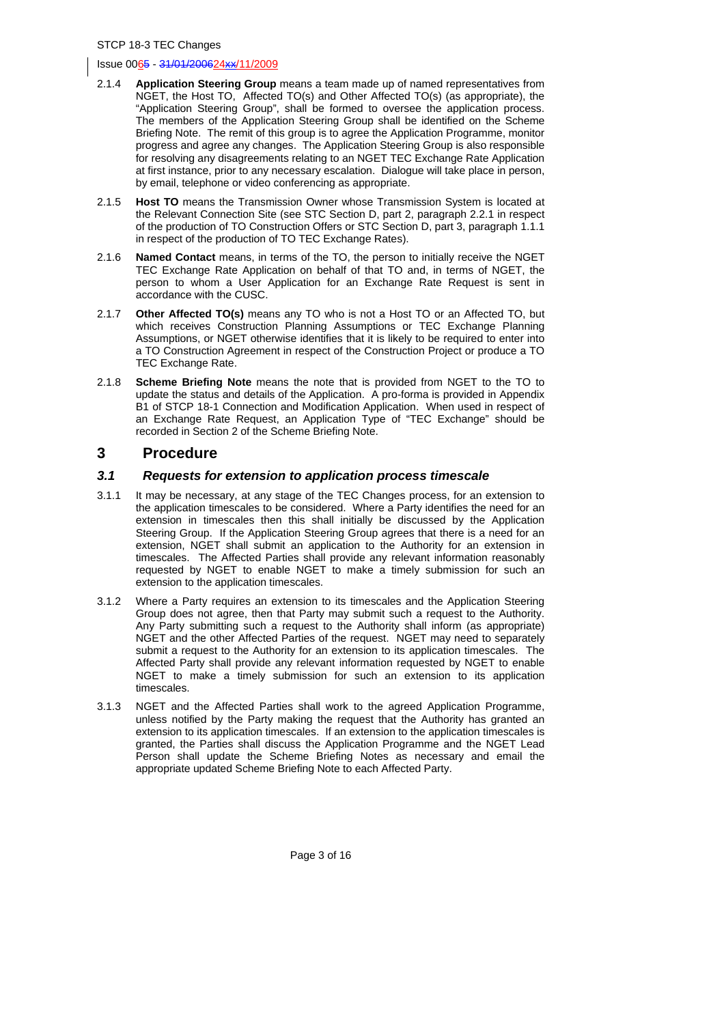- 2.1.4 **Application Steering Group** means a team made up of named representatives from NGET, the Host TO, Affected TO(s) and Other Affected TO(s) (as appropriate), the "Application Steering Group", shall be formed to oversee the application process. The members of the Application Steering Group shall be identified on the Scheme Briefing Note. The remit of this group is to agree the Application Programme, monitor progress and agree any changes. The Application Steering Group is also responsible for resolving any disagreements relating to an NGET TEC Exchange Rate Application at first instance, prior to any necessary escalation. Dialogue will take place in person, by email, telephone or video conferencing as appropriate.
- 2.1.5 **Host TO** means the Transmission Owner whose Transmission System is located at the Relevant Connection Site (see STC Section D, part 2, paragraph 2.2.1 in respect of the production of TO Construction Offers or STC Section D, part 3, paragraph 1.1.1 in respect of the production of TO TEC Exchange Rates).
- 2.1.6 **Named Contact** means, in terms of the TO, the person to initially receive the NGET TEC Exchange Rate Application on behalf of that TO and, in terms of NGET, the person to whom a User Application for an Exchange Rate Request is sent in accordance with the CUSC.
- 2.1.7 **Other Affected TO(s)** means any TO who is not a Host TO or an Affected TO, but which receives Construction Planning Assumptions or TEC Exchange Planning Assumptions, or NGET otherwise identifies that it is likely to be required to enter into a TO Construction Agreement in respect of the Construction Project or produce a TO TEC Exchange Rate.
- 2.1.8 **Scheme Briefing Note** means the note that is provided from NGET to the TO to update the status and details of the Application. A pro-forma is provided in Appendix B1 of STCP 18-1 Connection and Modification Application. When used in respect of an Exchange Rate Request, an Application Type of "TEC Exchange" should be recorded in Section 2 of the Scheme Briefing Note.

# **3 Procedure**

### *3.1 Requests for extension to application process timescale*

- 3.1.1 It may be necessary, at any stage of the TEC Changes process, for an extension to the application timescales to be considered. Where a Party identifies the need for an extension in timescales then this shall initially be discussed by the Application Steering Group. If the Application Steering Group agrees that there is a need for an extension, NGET shall submit an application to the Authority for an extension in timescales. The Affected Parties shall provide any relevant information reasonably requested by NGET to enable NGET to make a timely submission for such an extension to the application timescales.
- 3.1.2 Where a Party requires an extension to its timescales and the Application Steering Group does not agree, then that Party may submit such a request to the Authority. Any Party submitting such a request to the Authority shall inform (as appropriate) NGET and the other Affected Parties of the request. NGET may need to separately submit a request to the Authority for an extension to its application timescales. The Affected Party shall provide any relevant information requested by NGET to enable NGET to make a timely submission for such an extension to its application timescales.
- 3.1.3 NGET and the Affected Parties shall work to the agreed Application Programme, unless notified by the Party making the request that the Authority has granted an extension to its application timescales. If an extension to the application timescales is granted, the Parties shall discuss the Application Programme and the NGET Lead Person shall update the Scheme Briefing Notes as necessary and email the appropriate updated Scheme Briefing Note to each Affected Party.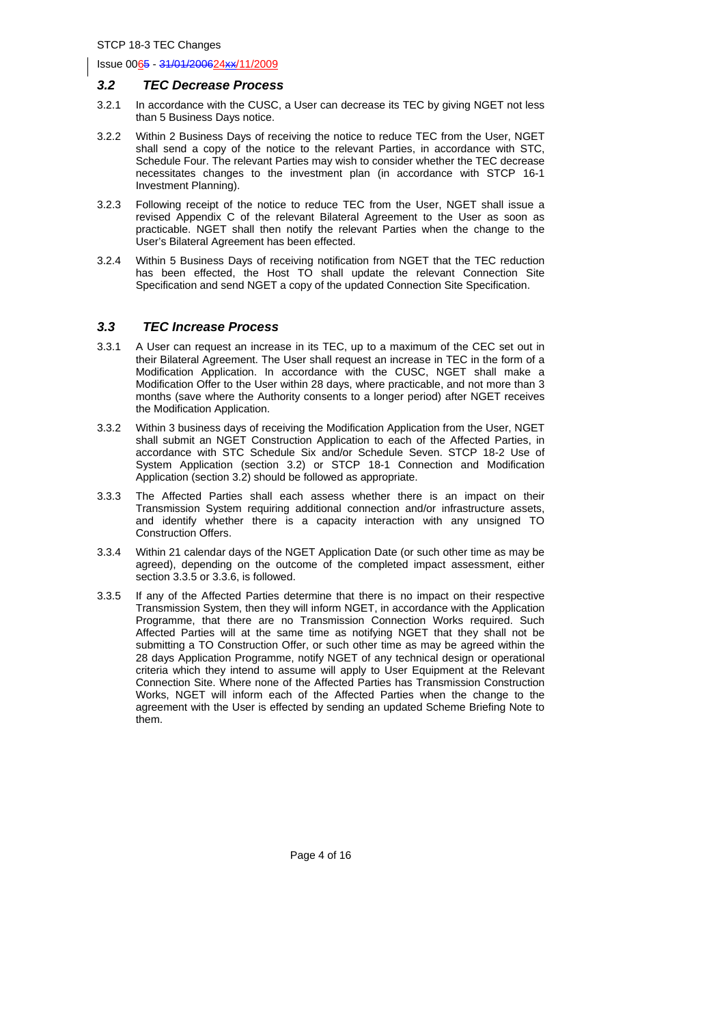#### *3.2 TEC Decrease Process*

- 3.2.1 In accordance with the CUSC, a User can decrease its TEC by giving NGET not less than 5 Business Days notice.
- 3.2.2 Within 2 Business Days of receiving the notice to reduce TEC from the User, NGET shall send a copy of the notice to the relevant Parties, in accordance with STC, Schedule Four. The relevant Parties may wish to consider whether the TEC decrease necessitates changes to the investment plan (in accordance with STCP 16-1 Investment Planning).
- 3.2.3 Following receipt of the notice to reduce TEC from the User, NGET shall issue a revised Appendix C of the relevant Bilateral Agreement to the User as soon as practicable. NGET shall then notify the relevant Parties when the change to the User's Bilateral Agreement has been effected.
- 3.2.4 Within 5 Business Days of receiving notification from NGET that the TEC reduction has been effected, the Host TO shall update the relevant Connection Site Specification and send NGET a copy of the updated Connection Site Specification.

#### *3.3 TEC Increase Process*

- 3.3.1 A User can request an increase in its TEC, up to a maximum of the CEC set out in their Bilateral Agreement. The User shall request an increase in TEC in the form of a Modification Application. In accordance with the CUSC, NGET shall make a Modification Offer to the User within 28 days, where practicable, and not more than 3 months (save where the Authority consents to a longer period) after NGET receives the Modification Application.
- 3.3.2 Within 3 business days of receiving the Modification Application from the User, NGET shall submit an NGET Construction Application to each of the Affected Parties, in accordance with STC Schedule Six and/or Schedule Seven. STCP 18-2 Use of System Application (section 3.2) or STCP 18-1 Connection and Modification Application (section 3.2) should be followed as appropriate.
- 3.3.3 The Affected Parties shall each assess whether there is an impact on their Transmission System requiring additional connection and/or infrastructure assets, and identify whether there is a capacity interaction with any unsigned TO Construction Offers.
- 3.3.4 Within 21 calendar days of the NGET Application Date (or such other time as may be agreed), depending on the outcome of the completed impact assessment, either section 3.3.5 or 3.3.6, is followed.
- 3.3.5 If any of the Affected Parties determine that there is no impact on their respective Transmission System, then they will inform NGET, in accordance with the Application Programme, that there are no Transmission Connection Works required. Such Affected Parties will at the same time as notifying NGET that they shall not be submitting a TO Construction Offer, or such other time as may be agreed within the 28 days Application Programme, notify NGET of any technical design or operational criteria which they intend to assume will apply to User Equipment at the Relevant Connection Site. Where none of the Affected Parties has Transmission Construction Works, NGET will inform each of the Affected Parties when the change to the agreement with the User is effected by sending an updated Scheme Briefing Note to them.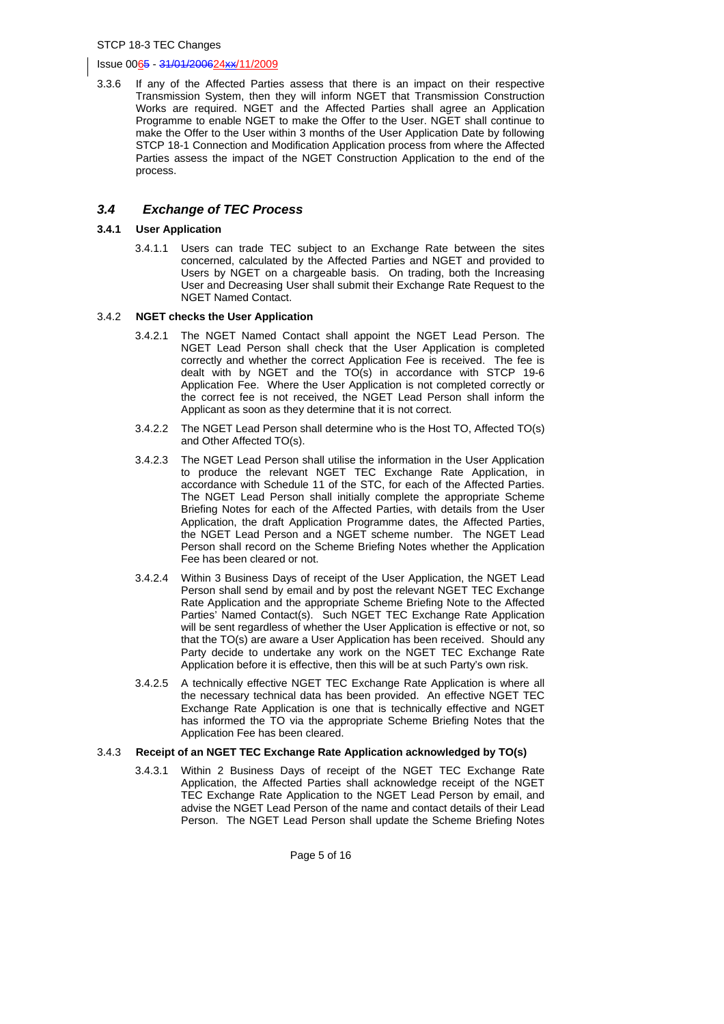#### Issue 0065 - 31/01/200624xx/11/2009

3.3.6 If any of the Affected Parties assess that there is an impact on their respective Transmission System, then they will inform NGET that Transmission Construction Works are required. NGET and the Affected Parties shall agree an Application Programme to enable NGET to make the Offer to the User. NGET shall continue to make the Offer to the User within 3 months of the User Application Date by following STCP 18-1 Connection and Modification Application process from where the Affected Parties assess the impact of the NGET Construction Application to the end of the process.

# *3.4 Exchange of TEC Process*

#### **3.4.1 User Application**

3.4.1.1 Users can trade TEC subject to an Exchange Rate between the sites concerned, calculated by the Affected Parties and NGET and provided to Users by NGET on a chargeable basis. On trading, both the Increasing User and Decreasing User shall submit their Exchange Rate Request to the NGET Named Contact.

#### 3.4.2 **NGET checks the User Application**

- 3.4.2.1 The NGET Named Contact shall appoint the NGET Lead Person. The NGET Lead Person shall check that the User Application is completed correctly and whether the correct Application Fee is received. The fee is dealt with by NGET and the TO(s) in accordance with STCP 19-6 Application Fee. Where the User Application is not completed correctly or the correct fee is not received, the NGET Lead Person shall inform the Applicant as soon as they determine that it is not correct.
- 3.4.2.2 The NGET Lead Person shall determine who is the Host TO, Affected TO(s) and Other Affected TO(s).
- 3.4.2.3 The NGET Lead Person shall utilise the information in the User Application to produce the relevant NGET TEC Exchange Rate Application, in accordance with Schedule 11 of the STC, for each of the Affected Parties. The NGET Lead Person shall initially complete the appropriate Scheme Briefing Notes for each of the Affected Parties, with details from the User Application, the draft Application Programme dates, the Affected Parties, the NGET Lead Person and a NGET scheme number. The NGET Lead Person shall record on the Scheme Briefing Notes whether the Application Fee has been cleared or not.
- 3.4.2.4 Within 3 Business Days of receipt of the User Application, the NGET Lead Person shall send by email and by post the relevant NGET TEC Exchange Rate Application and the appropriate Scheme Briefing Note to the Affected Parties' Named Contact(s). Such NGET TEC Exchange Rate Application will be sent regardless of whether the User Application is effective or not, so that the TO(s) are aware a User Application has been received. Should any Party decide to undertake any work on the NGET TEC Exchange Rate Application before it is effective, then this will be at such Party's own risk.
- 3.4.2.5 A technically effective NGET TEC Exchange Rate Application is where all the necessary technical data has been provided. An effective NGET TEC Exchange Rate Application is one that is technically effective and NGET has informed the TO via the appropriate Scheme Briefing Notes that the Application Fee has been cleared.

#### 3.4.3 **Receipt of an NGET TEC Exchange Rate Application acknowledged by TO(s)**

3.4.3.1 Within 2 Business Days of receipt of the NGET TEC Exchange Rate Application, the Affected Parties shall acknowledge receipt of the NGET TEC Exchange Rate Application to the NGET Lead Person by email, and advise the NGET Lead Person of the name and contact details of their Lead Person. The NGET Lead Person shall update the Scheme Briefing Notes

Page 5 of 16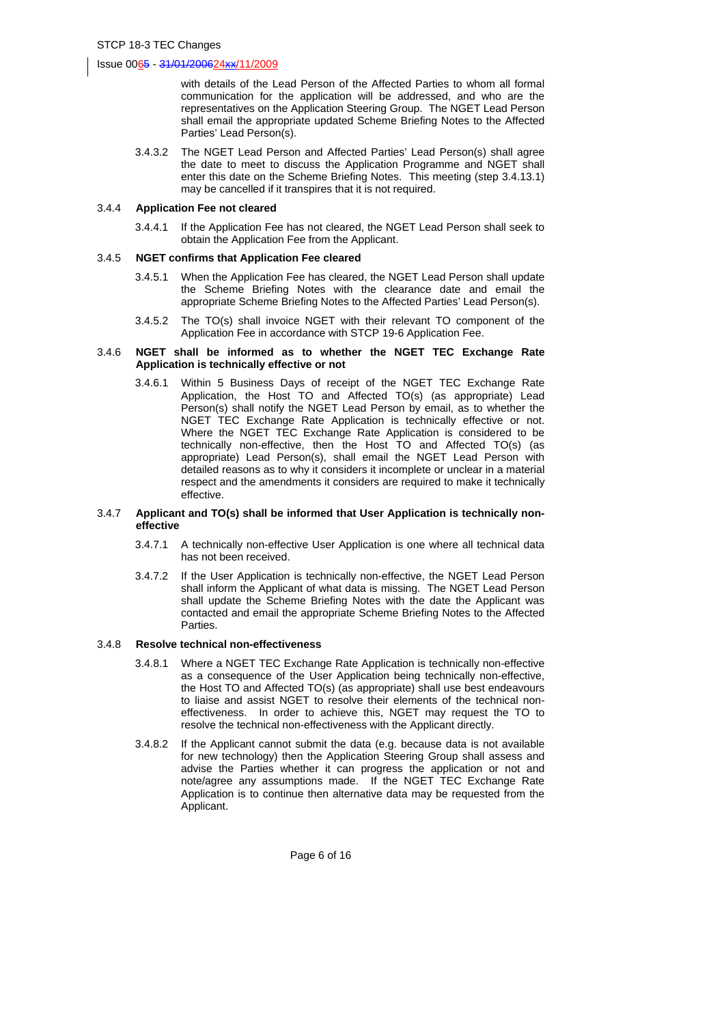with details of the Lead Person of the Affected Parties to whom all formal communication for the application will be addressed, and who are the representatives on the Application Steering Group. The NGET Lead Person shall email the appropriate updated Scheme Briefing Notes to the Affected Parties' Lead Person(s).

3.4.3.2 The NGET Lead Person and Affected Parties' Lead Person(s) shall agree the date to meet to discuss the Application Programme and NGET shall enter this date on the Scheme Briefing Notes. This meeting (step 3.4.13.1) may be cancelled if it transpires that it is not required.

#### 3.4.4 **Application Fee not cleared**

3.4.4.1 If the Application Fee has not cleared, the NGET Lead Person shall seek to obtain the Application Fee from the Applicant.

#### 3.4.5 **NGET confirms that Application Fee cleared**

- 3.4.5.1 When the Application Fee has cleared, the NGET Lead Person shall update the Scheme Briefing Notes with the clearance date and email the appropriate Scheme Briefing Notes to the Affected Parties' Lead Person(s).
- 3.4.5.2 The TO(s) shall invoice NGET with their relevant TO component of the Application Fee in accordance with STCP 19-6 Application Fee.

#### 3.4.6 **NGET shall be informed as to whether the NGET TEC Exchange Rate Application is technically effective or not**

3.4.6.1 Within 5 Business Days of receipt of the NGET TEC Exchange Rate Application, the Host TO and Affected TO(s) (as appropriate) Lead Person(s) shall notify the NGET Lead Person by email, as to whether the NGET TEC Exchange Rate Application is technically effective or not. Where the NGET TEC Exchange Rate Application is considered to be technically non-effective, then the Host TO and Affected TO(s) (as appropriate) Lead Person(s), shall email the NGET Lead Person with detailed reasons as to why it considers it incomplete or unclear in a material respect and the amendments it considers are required to make it technically effective.

#### 3.4.7 **Applicant and TO(s) shall be informed that User Application is technically noneffective**

- 3.4.7.1 A technically non-effective User Application is one where all technical data has not been received.
- 3.4.7.2 If the User Application is technically non-effective, the NGET Lead Person shall inform the Applicant of what data is missing. The NGET Lead Person shall update the Scheme Briefing Notes with the date the Applicant was contacted and email the appropriate Scheme Briefing Notes to the Affected Parties.

#### 3.4.8 **Resolve technical non-effectiveness**

- 3.4.8.1 Where a NGET TEC Exchange Rate Application is technically non-effective as a consequence of the User Application being technically non-effective, the Host TO and Affected TO(s) (as appropriate) shall use best endeavours to liaise and assist NGET to resolve their elements of the technical noneffectiveness. In order to achieve this, NGET may request the TO to resolve the technical non-effectiveness with the Applicant directly.
- 3.4.8.2 If the Applicant cannot submit the data (e.g. because data is not available for new technology) then the Application Steering Group shall assess and advise the Parties whether it can progress the application or not and note/agree any assumptions made. If the NGET TEC Exchange Rate Application is to continue then alternative data may be requested from the Applicant.

Page 6 of 16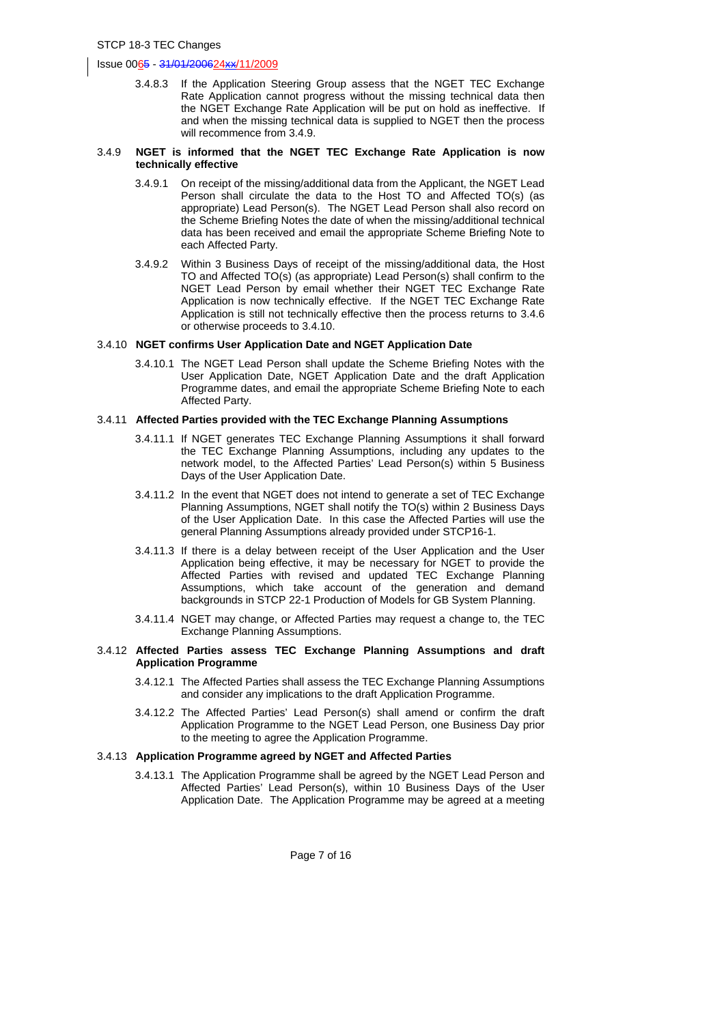3.4.8.3 If the Application Steering Group assess that the NGET TEC Exchange Rate Application cannot progress without the missing technical data then the NGET Exchange Rate Application will be put on hold as ineffective. If and when the missing technical data is supplied to NGET then the process will recommence from 3.4.9.

#### 3.4.9 **NGET is informed that the NGET TEC Exchange Rate Application is now technically effective**

- 3.4.9.1 On receipt of the missing/additional data from the Applicant, the NGET Lead Person shall circulate the data to the Host TO and Affected TO(s) (as appropriate) Lead Person(s). The NGET Lead Person shall also record on the Scheme Briefing Notes the date of when the missing/additional technical data has been received and email the appropriate Scheme Briefing Note to each Affected Party.
- 3.4.9.2 Within 3 Business Days of receipt of the missing/additional data, the Host TO and Affected TO(s) (as appropriate) Lead Person(s) shall confirm to the NGET Lead Person by email whether their NGET TEC Exchange Rate Application is now technically effective. If the NGET TEC Exchange Rate Application is still not technically effective then the process returns to 3.4.6 or otherwise proceeds to 3.4.10.

#### 3.4.10 **NGET confirms User Application Date and NGET Application Date**

3.4.10.1 The NGET Lead Person shall update the Scheme Briefing Notes with the User Application Date, NGET Application Date and the draft Application Programme dates, and email the appropriate Scheme Briefing Note to each Affected Party.

#### 3.4.11 **Affected Parties provided with the TEC Exchange Planning Assumptions**

- 3.4.11.1 If NGET generates TEC Exchange Planning Assumptions it shall forward the TEC Exchange Planning Assumptions, including any updates to the network model, to the Affected Parties' Lead Person(s) within 5 Business Days of the User Application Date.
- 3.4.11.2 In the event that NGET does not intend to generate a set of TEC Exchange Planning Assumptions, NGET shall notify the TO(s) within 2 Business Days of the User Application Date. In this case the Affected Parties will use the general Planning Assumptions already provided under STCP16-1.
- 3.4.11.3 If there is a delay between receipt of the User Application and the User Application being effective, it may be necessary for NGET to provide the Affected Parties with revised and updated TEC Exchange Planning Assumptions, which take account of the generation and demand backgrounds in STCP 22-1 Production of Models for GB System Planning.
- 3.4.11.4 NGET may change, or Affected Parties may request a change to, the TEC Exchange Planning Assumptions.

#### 3.4.12 **Affected Parties assess TEC Exchange Planning Assumptions and draft Application Programme**

- 3.4.12.1 The Affected Parties shall assess the TEC Exchange Planning Assumptions and consider any implications to the draft Application Programme.
- 3.4.12.2 The Affected Parties' Lead Person(s) shall amend or confirm the draft Application Programme to the NGET Lead Person, one Business Day prior to the meeting to agree the Application Programme.

#### 3.4.13 **Application Programme agreed by NGET and Affected Parties**

3.4.13.1 The Application Programme shall be agreed by the NGET Lead Person and Affected Parties' Lead Person(s), within 10 Business Days of the User Application Date. The Application Programme may be agreed at a meeting

Page 7 of 16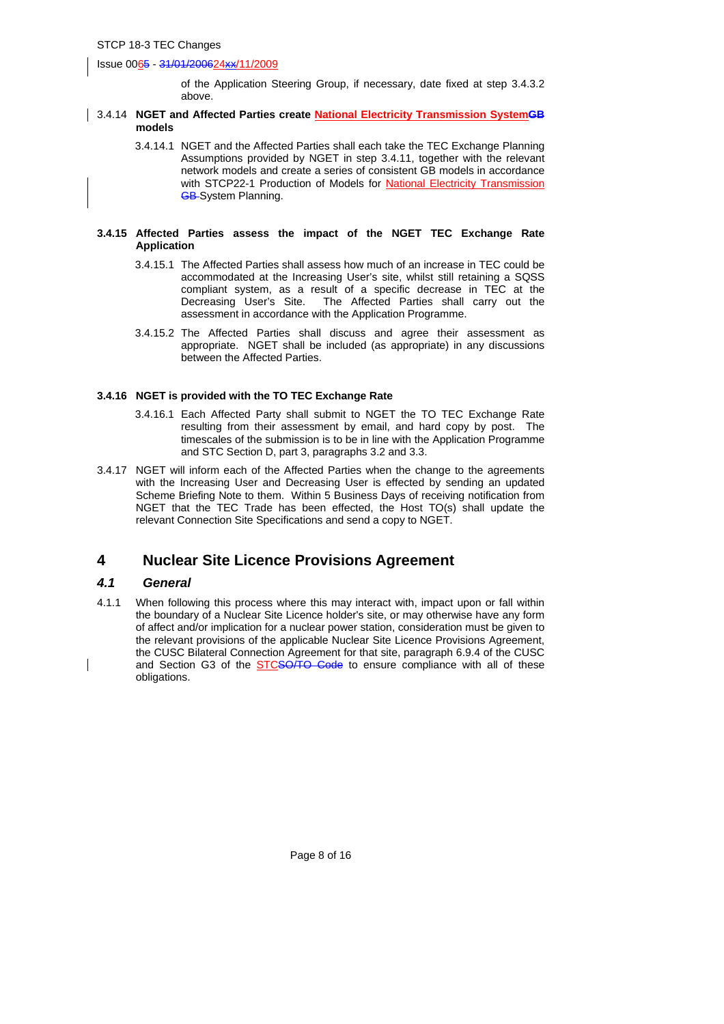of the Application Steering Group, if necessary, date fixed at step 3.4.3.2 above.

#### 3.4.14 **NGET and Affected Parties create National Electricity Transmission SystemGB models**

3.4.14.1 NGET and the Affected Parties shall each take the TEC Exchange Planning Assumptions provided by NGET in step 3.4.11, together with the relevant network models and create a series of consistent GB models in accordance with STCP22-1 Production of Models for National Electricity Transmission **GB-System Planning.** 

#### **3.4.15 Affected Parties assess the impact of the NGET TEC Exchange Rate Application**

- 3.4.15.1 The Affected Parties shall assess how much of an increase in TEC could be accommodated at the Increasing User's site, whilst still retaining a SQSS compliant system, as a result of a specific decrease in TEC at the Decreasing User's Site. The Affected Parties shall carry out the assessment in accordance with the Application Programme.
- 3.4.15.2 The Affected Parties shall discuss and agree their assessment as appropriate. NGET shall be included (as appropriate) in any discussions between the Affected Parties.

#### **3.4.16 NGET is provided with the TO TEC Exchange Rate**

- 3.4.16.1 Each Affected Party shall submit to NGET the TO TEC Exchange Rate resulting from their assessment by email, and hard copy by post. The timescales of the submission is to be in line with the Application Programme and STC Section D, part 3, paragraphs 3.2 and 3.3.
- 3.4.17 NGET will inform each of the Affected Parties when the change to the agreements with the Increasing User and Decreasing User is effected by sending an updated Scheme Briefing Note to them. Within 5 Business Days of receiving notification from NGET that the TEC Trade has been effected, the Host TO(s) shall update the relevant Connection Site Specifications and send a copy to NGET.

# **4 Nuclear Site Licence Provisions Agreement**

#### *4.1 General*

4.1.1 When following this process where this may interact with, impact upon or fall within the boundary of a Nuclear Site Licence holder's site, or may otherwise have any form of affect and/or implication for a nuclear power station, consideration must be given to the relevant provisions of the applicable Nuclear Site Licence Provisions Agreement, the CUSC Bilateral Connection Agreement for that site, paragraph 6.9.4 of the CUSC and Section G3 of the STCSO/TO Code to ensure compliance with all of these obligations.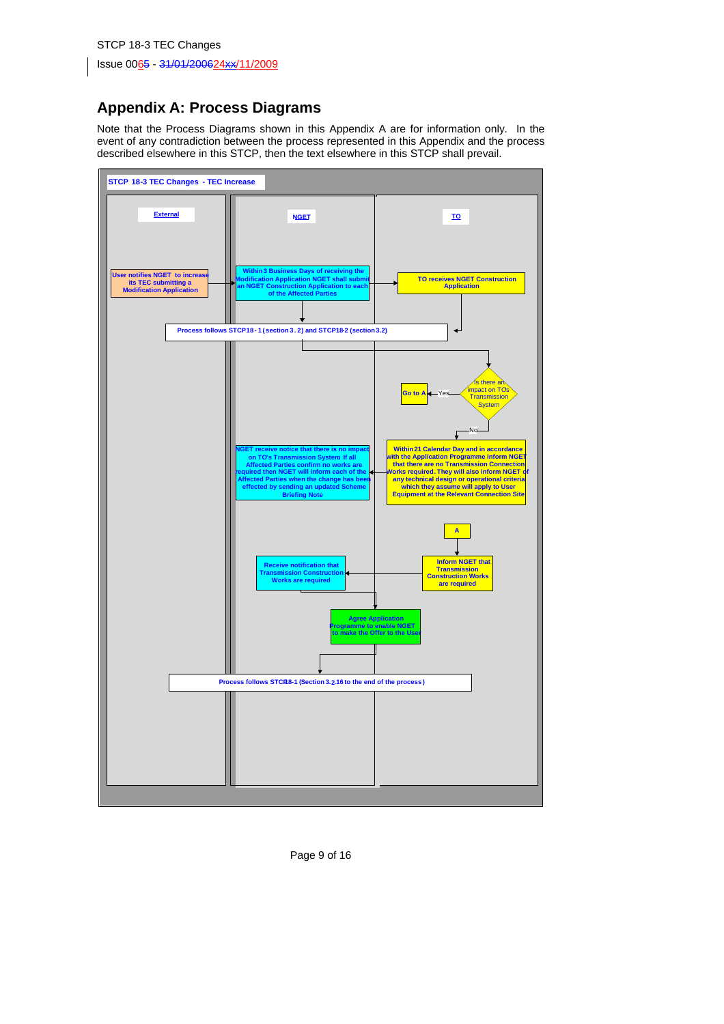# **Appendix A: Process Diagrams**

Note that the Process Diagrams shown in this Appendix A are for information only. In the event of any contradiction between the process represented in this Appendix and the process described elsewhere in this STCP, then the text elsewhere in this STCP shall prevail.



Page 9 of 16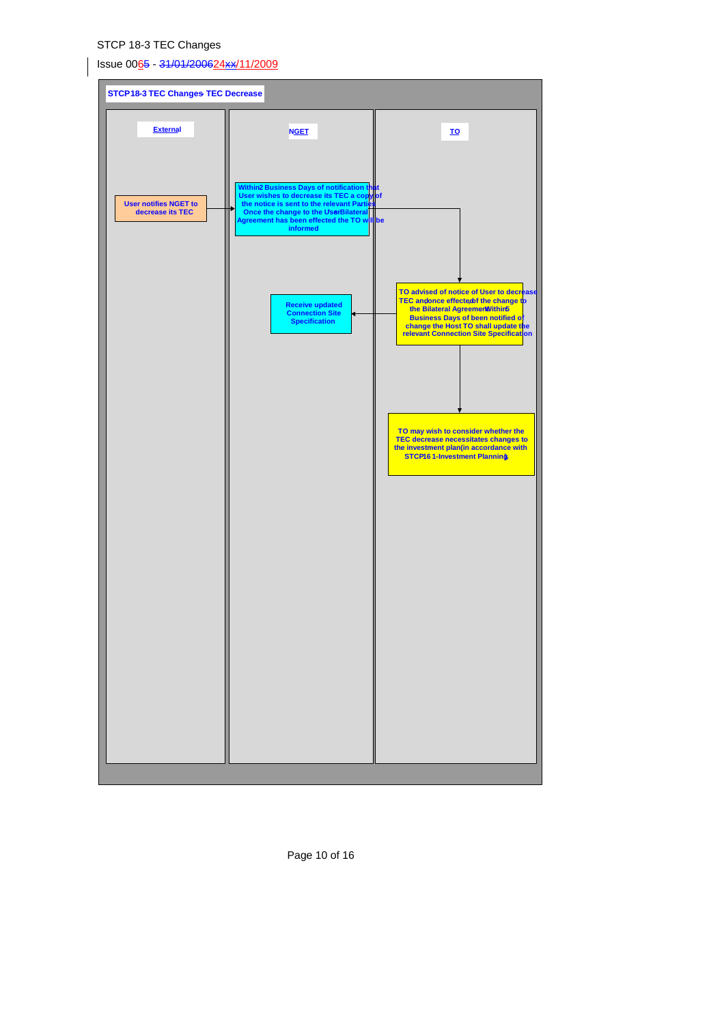Issue 0065 - 31/01/200624xx/11/2009



Page 10 of 16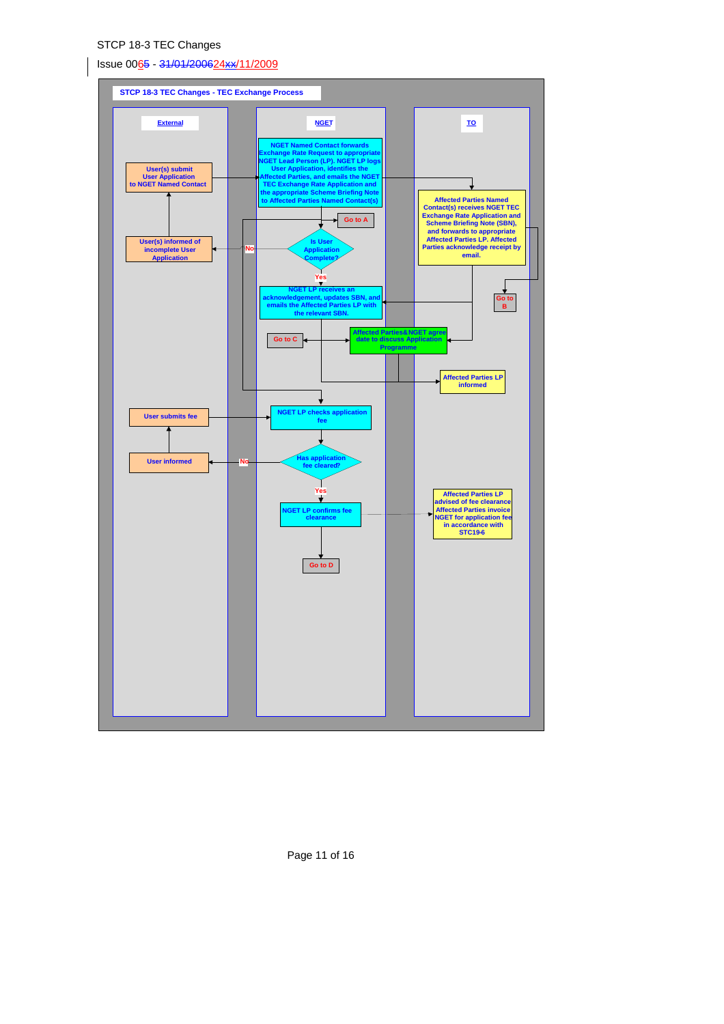# Issue 0065 - 31/01/200624xx/11/2009

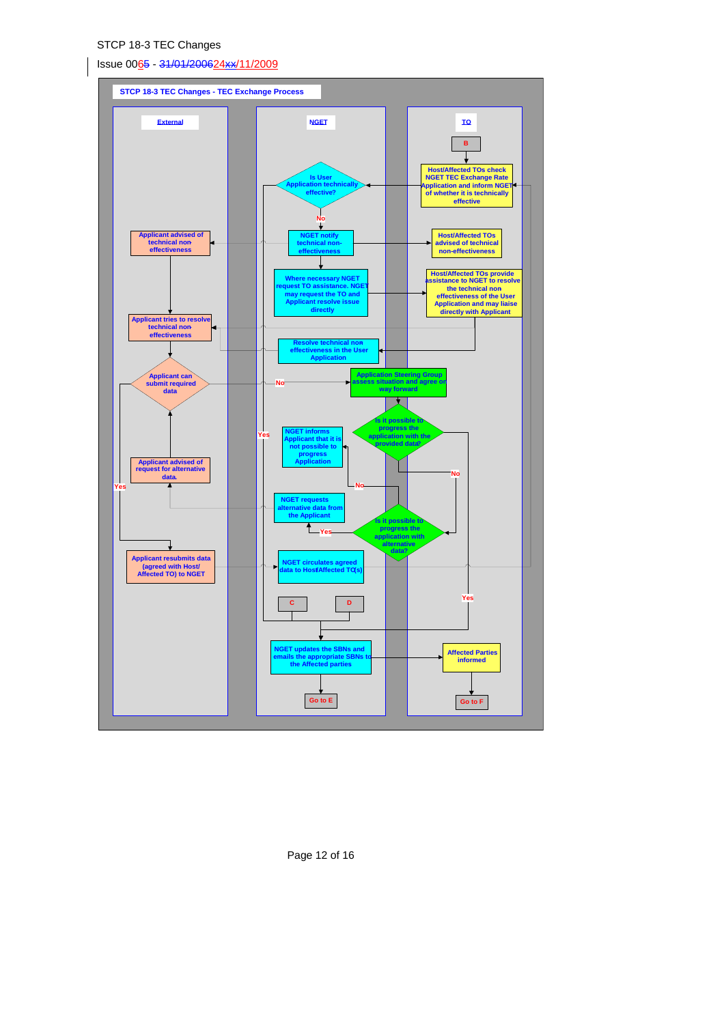Issue 0065 - 31/01/200624xx/11/2009



Page 12 of 16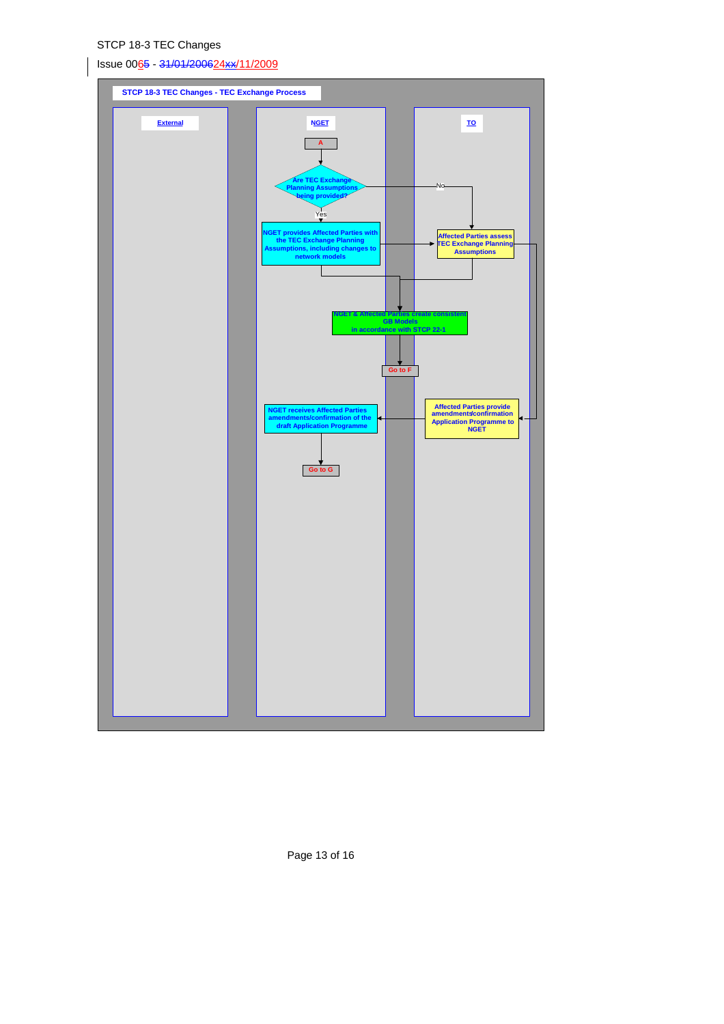Issue 0065 - 31/01/200624xx/11/2009



Page 13 of 16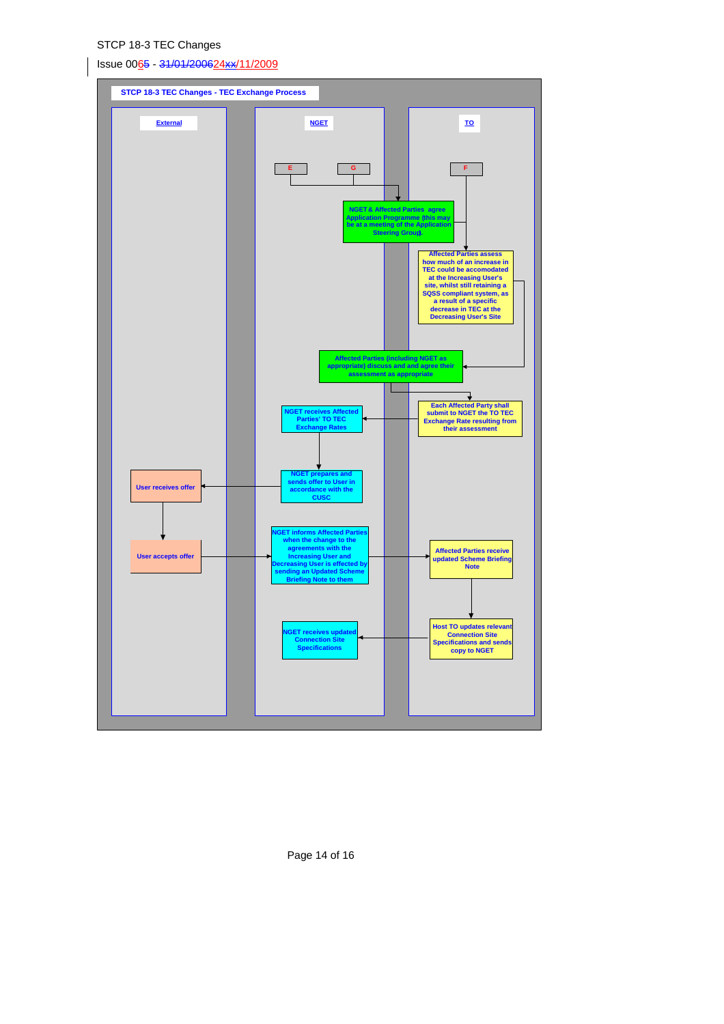Issue 0065 - 31/01/200624xx/11/2009



Page 14 of 16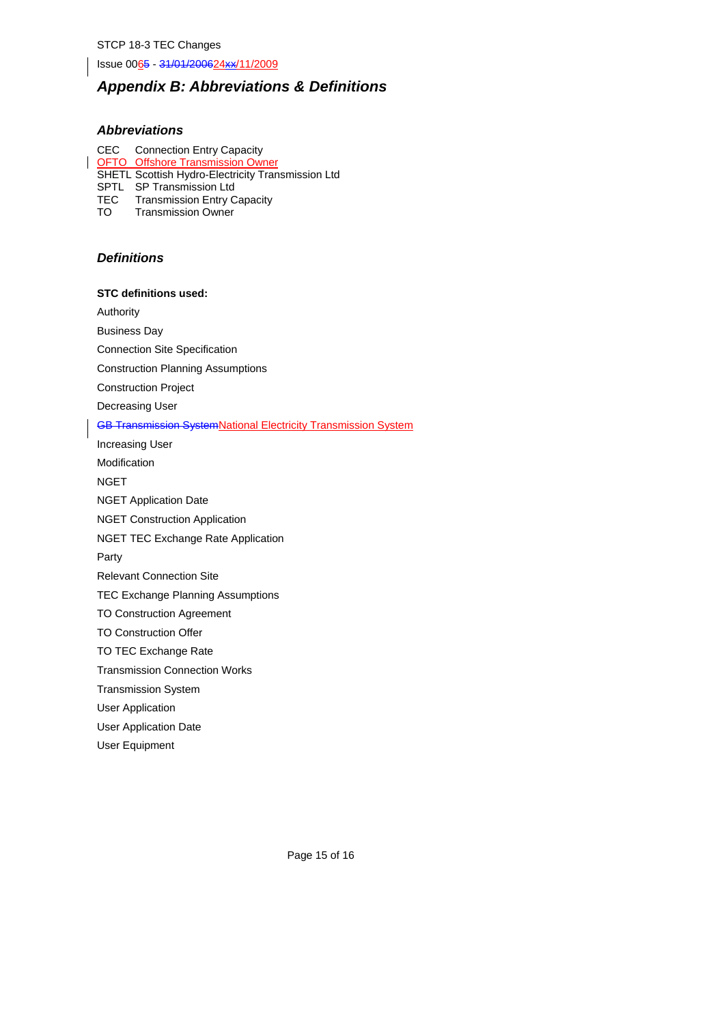Issue 0065 - 31/01/200624xx/11/2009

# *Appendix B: Abbreviations & Definitions*

# *Abbreviations*

CEC Connection Entry Capacity OFTO Offshore Transmission Owner SHETL Scottish Hydro-Electricity Transmission Ltd SPTL SP Transmission Ltd TEC Transmission Entry Capacity<br>TO Transmission Owner

Transmission Owner

# *Definitions*

**STC definitions used:** 

Authority

Business Day

Connection Site Specification

Construction Planning Assumptions

Construction Project

Decreasing User

#### GB Transmission SystemNational Electricity Transmission System

Increasing User Modification **NGET** NGET Application Date NGET Construction Application NGET TEC Exchange Rate Application Party Relevant Connection Site TEC Exchange Planning Assumptions TO Construction Agreement TO Construction Offer TO TEC Exchange Rate Transmission Connection Works Transmission System

User Application

User Application Date

User Equipment